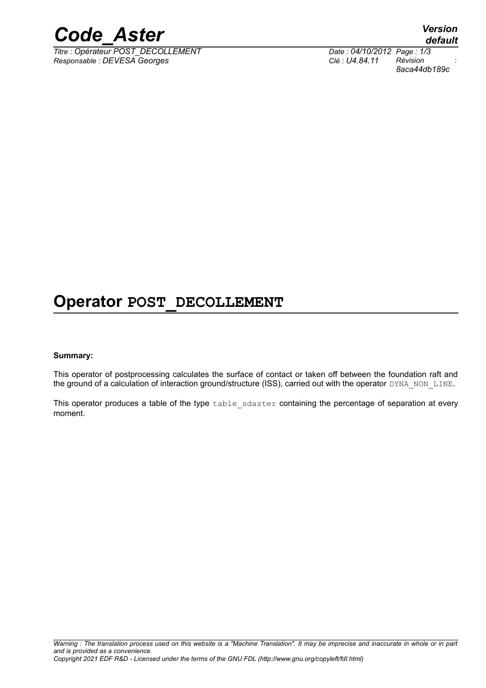

*Titre : Opérateur POST\_DECOLLEMENT Date : 04/10/2012 Page : 1/3*  $Responsible : DEVESA Georges$ 

*default 8aca44db189c*

## **Operator POST\_DECOLLEMENT**

#### **Summary:**

This operator of postprocessing calculates the surface of contact or taken off between the foundation raft and the ground of a calculation of interaction ground/structure (ISS), carried out with the operator DYNA\_NON\_LINE.

This operator produces a table of the type table sdaster containing the percentage of separation at every moment.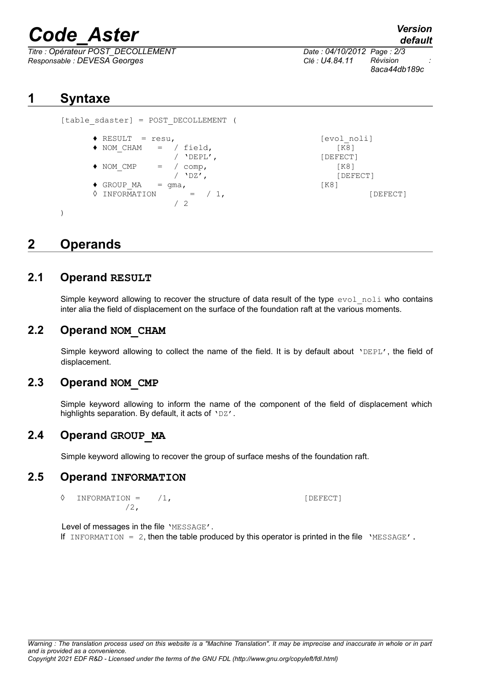# *Code\_Aster Version*

*Titre : Opérateur POST\_DECOLLEMENT Date : 04/10/2012 Page : 2/3 Responsable : DEVESA Georges Clé : U4.84.11 Révision :*

*default*

*8aca44db189c*

**1 Syntaxe**

```
[table_sdaster] = POST_DECOLLEMENT (
    ◆ RESULT = resu,<br>◆ NOM CHAM = / field, [FO] [evol_noli]
            = / field, [\overline{K8}]/ 'DEPL', [DEFECT]
    \bullet NOM CMP = / comp, [K8]
               / 'DZ', [DEFECT]
    \bullet GROUP MA = gma, [K8]\Diamond INFORMATION = / 1, [DEFect]/ 2
)
```
## **2 Operands**

#### **2.1 Operand RESULT**

Simple keyword allowing to recover the structure of data result of the type evol noli who contains inter alia the field of displacement on the surface of the foundation raft at the various moments.

#### **2.2 Operand NOM\_CHAM**

Simple keyword allowing to collect the name of the field. It is by default about 'DEPL', the field of displacement.

#### **2.3 Operand NOM\_CMP**

Simple keyword allowing to inform the name of the component of the field of displacement which highlights separation. By default, it acts of 'DZ'.

### **2.4 Operand GROUP\_MA**

Simple keyword allowing to recover the group of surface meshs of the foundation raft.

#### **2.5 Operand INFORMATION**

◊ INFORMATION = /1, [DEFECT] /2,

Level of messages in the file 'MESSAGE'.

If INFORMATION =  $2$ , then the table produced by this operator is printed in the file 'MESSAGE'.